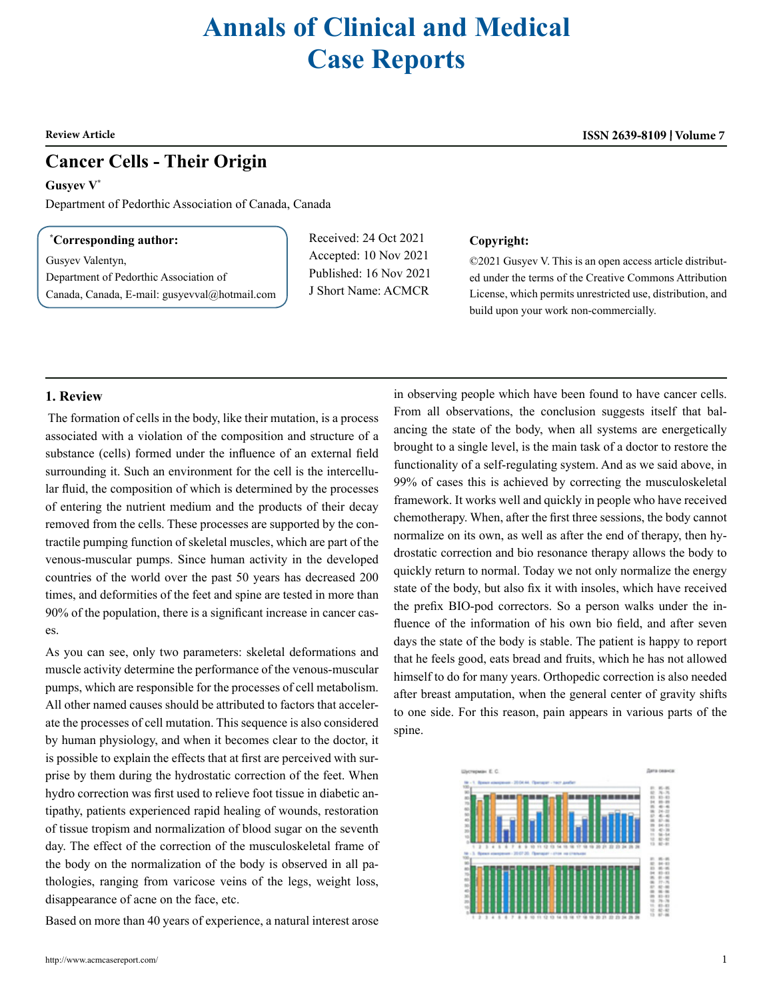# **Annals of Clinical and Medical Case Reports**

## **Cancer Cells - Their Origin**

**Gusyev V\***

Department of Pedorthic Association of Canada, Canada

#### **\* Corresponding author:**

Gusyev Valentyn, Department of Pedorthic Association of

Canada, Canada, E-mail: [gusyevval@hotmail.com](mailto:gusyevval@hotmail.com)

Received: 24 Oct 2021 Accepted: 10 Nov 2021 Published: 16 Nov 2021 J Short Name: ACMCR

#### **Copyright:**

©2021 Gusyev V. This is an open access article distributed under the terms of the Creative Commons Attribution License, which permits unrestricted use, distribution, and build upon your work non-commercially.

### **1. Review**

 The formation of cells in the body, like their mutation, is a process associated with a violation of the composition and structure of a substance (cells) formed under the influence of an external field surrounding it. Such an environment for the cell is the intercellular fluid, the composition of which is determined by the processes of entering the nutrient medium and the products of their decay removed from the cells. These processes are supported by the contractile pumping function of skeletal muscles, which are part of the venous-muscular pumps. Since human activity in the developed countries of the world over the past 50 years has decreased 200 times, and deformities of the feet and spine are tested in more than 90% of the population, there is a significant increase in cancer cases.

As you can see, only two parameters: skeletal deformations and muscle activity determine the performance of the venous-muscular pumps, which are responsible for the processes of cell metabolism. All other named causes should be attributed to factors that accelerate the processes of cell mutation. This sequence is also considered by human physiology, and when it becomes clear to the doctor, it is possible to explain the effects that at first are perceived with surprise by them during the hydrostatic correction of the feet. When hydro correction was first used to relieve foot tissue in diabetic antipathy, patients experienced rapid healing of wounds, restoration of tissue tropism and normalization of blood sugar on the seventh day. The effect of the correction of the musculoskeletal frame of the body on the normalization of the body is observed in all pathologies, ranging from varicose veins of the legs, weight loss, disappearance of acne on the face, etc.

Based on more than 40 years of experience, a natural interest arose

in observing people which have been found to have cancer cells. From all observations, the conclusion suggests itself that balancing the state of the body, when all systems are energetically brought to a single level, is the main task of a doctor to restore the functionality of a self-regulating system. And as we said above, in 99% of cases this is achieved by correcting the musculoskeletal framework. It works well and quickly in people who have received chemotherapy. When, after the first three sessions, the body cannot normalize on its own, as well as after the end of therapy, then hydrostatic correction and bio resonance therapy allows the body to quickly return to normal. Today we not only normalize the energy state of the body, but also fix it with insoles, which have received the prefix BIO-pod correctors. So a person walks under the influence of the information of his own bio field, and after seven days the state of the body is stable. The patient is happy to report that he feels good, eats bread and fruits, which he has not allowed himself to do for many years. Orthopedic correction is also needed after breast amputation, when the general center of gravity shifts to one side. For this reason, pain appears in various parts of the spine.